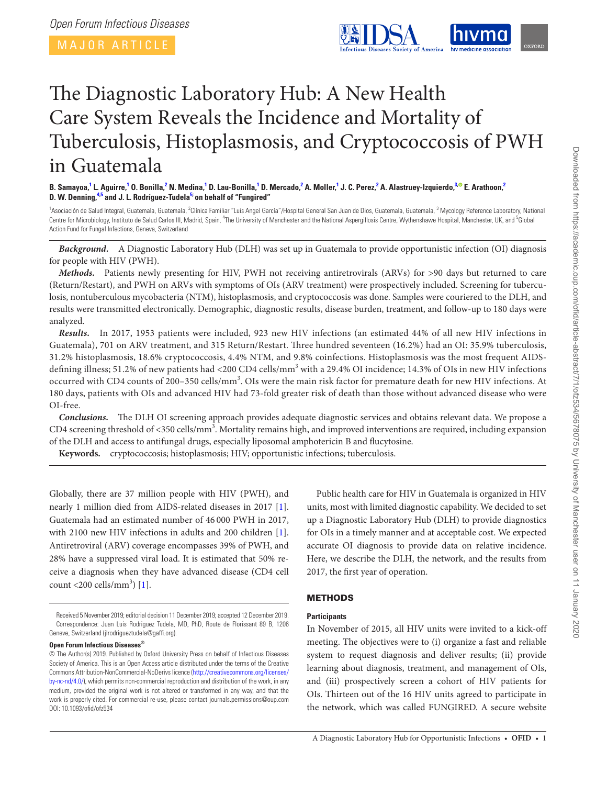MAJOR ARTICLE

<span id="page-0-4"></span><span id="page-0-2"></span>

# The Diagnostic Laboratory Hub: A New Health Care System Reveals the Incidence and Mortality of Tuberculosis, Histoplasmosis, and Cryptococcosis of PWH in Guatemala

B. Samayoa,<sup>[1](#page-0-0)</sup> L. Aguirre,<sup>1</sup> O. Bonilla,<sup>[2](#page-0-1)</sup> N. Medina,<sup>1</sup> D. Lau-Bonilla,<sup>1</sup> D. Mercado,<sup>2</sup> A. Moller,<sup>1</sup> J. C. Perez,<sup>2</sup> A. Alastruey-Izquierdo,<sup>[3](#page-0-2),©</sup> E. Arathoon,<sup>2</sup> **D. W. Denning, [4](#page-0-3)[,5](#page-0-4) and J. L. Rodríguez-Tudela[5;](#page-0-4) on behalf of "Fungired"**

<span id="page-0-3"></span><span id="page-0-1"></span><span id="page-0-0"></span><sup>1</sup>Asociación de Salud Integral, Guatemala, Guatemala, <sup>2</sup>Clínica Familiar "Luis Angel García"/Hospital General San Juan de Dios, Guatemala, Guatemala, <sup>3</sup> Mycology Reference Laboratory, National Centre for Microbiology, Instituto de Salud Carlos III, Madrid, Spain, <sup>4</sup>The University of Manchester and the National Aspergillosis Centre, Wythenshawe Hospital, Manchester, UK, and <sup>5</sup>Global Action Fund for Fungal Infections, Geneva, Switzerland

*Background.* A Diagnostic Laboratory Hub (DLH) was set up in Guatemala to provide opportunistic infection (OI) diagnosis for people with HIV (PWH).

*Methods.* Patients newly presenting for HIV, PWH not receiving antiretrovirals (ARVs) for >90 days but returned to care (Return/Restart), and PWH on ARVs with symptoms of OIs (ARV treatment) were prospectively included. Screening for tuberculosis, nontuberculous mycobacteria (NTM), histoplasmosis, and cryptococcosis was done. Samples were couriered to the DLH, and results were transmitted electronically. Demographic, diagnostic results, disease burden, treatment, and follow-up to 180 days were analyzed.

*Results.* In 2017, 1953 patients were included, 923 new HIV infections (an estimated 44% of all new HIV infections in Guatemala), 701 on ARV treatment, and 315 Return/Restart. Three hundred seventeen (16.2%) had an OI: 35.9% tuberculosis, 31.2% histoplasmosis, 18.6% cryptococcosis, 4.4% NTM, and 9.8% coinfections. Histoplasmosis was the most frequent AIDSdefining illness; 51.2% of new patients had <200 CD4 cells/mm $^3$  with a 29.4% OI incidence; 14.3% of OIs in new HIV infections occurred with CD4 counts of 200-350 cells/mm<sup>3</sup>. OIs were the main risk factor for premature death for new HIV infections. At 180 days, patients with OIs and advanced HIV had 73-fold greater risk of death than those without advanced disease who were OI-free.

*Conclusions.* The DLH OI screening approach provides adequate diagnostic services and obtains relevant data. We propose a CD4 screening threshold of <350 cells/mm<sup>3</sup>. Mortality remains high, and improved interventions are required, including expansion of the DLH and access to antifungal drugs, especially liposomal amphotericin B and flucytosine.

**Keywords.** cryptococcosis; histoplasmosis; HIV; opportunistic infections; tuberculosis.

Globally, there are 37 million people with HIV (PWH), and nearly 1 million died from AIDS-related diseases in 2017 [\[1\]](#page-8-0). Guatemala had an estimated number of 46 000 PWH in 2017, with 2100 new HIV infections in adults and 200 children [[1\]](#page-8-0). Antiretroviral (ARV) coverage encompasses 39% of PWH, and 28% have a suppressed viral load. It is estimated that 50% receive a diagnosis when they have advanced disease (CD4 cell  $count < 200$  cells/mm<sup>3</sup> $[1]$  $[1]$  $[1]$ .

# **Open Forum Infectious Diseases®**

© The Author(s) 2019. Published by Oxford University Press on behalf of Infectious Diseases Society of America. This is an Open Access article distributed under the terms of the Creative Commons Attribution-NonCommercial-NoDerivs licence [\(http://creativecommons.org/licenses/](http://creativecommons.org/licenses/by-nc-nd/4.0/) [by-nc-nd/4.0/](http://creativecommons.org/licenses/by-nc-nd/4.0/)), which permits non-commercial reproduction and distribution of the work, in any medium, provided the original work is not altered or transformed in any way, and that the work is properly cited. For commercial re-use, please contact journals.permissions@oup.com DOI: 10.1093/ofid/ofz534

Public health care for HIV in Guatemala is organized in HIV units, most with limited diagnostic capability. We decided to set up a Diagnostic Laboratory Hub (DLH) to provide diagnostics for OIs in a timely manner and at acceptable cost. We expected accurate OI diagnosis to provide data on relative incidence. Here, we describe the DLH, the network, and the results from 2017, the first year of operation.

# **METHODS**

# **Participants**

In November of 2015, all HIV units were invited to a kick-off meeting. The objectives were to (i) organize a fast and reliable system to request diagnosis and deliver results; (ii) provide learning about diagnosis, treatment, and management of OIs, and (iii) prospectively screen a cohort of HIV patients for OIs. Thirteen out of the 16 HIV units agreed to participate in the network, which was called FUNGIRED. A secure website

Received 5 November 2019; editorial decision 11 December 2019; accepted 12 December 2019. Correspondence: Juan Luis Rodriguez Tudela, MD, PhD, Route de Florissant 89 B, 1206 Geneve, Switzerland [\(jlrodrigueztudela@gaffi.org](mailto:jlrodrigueztudela@gaffi.org?subject=)).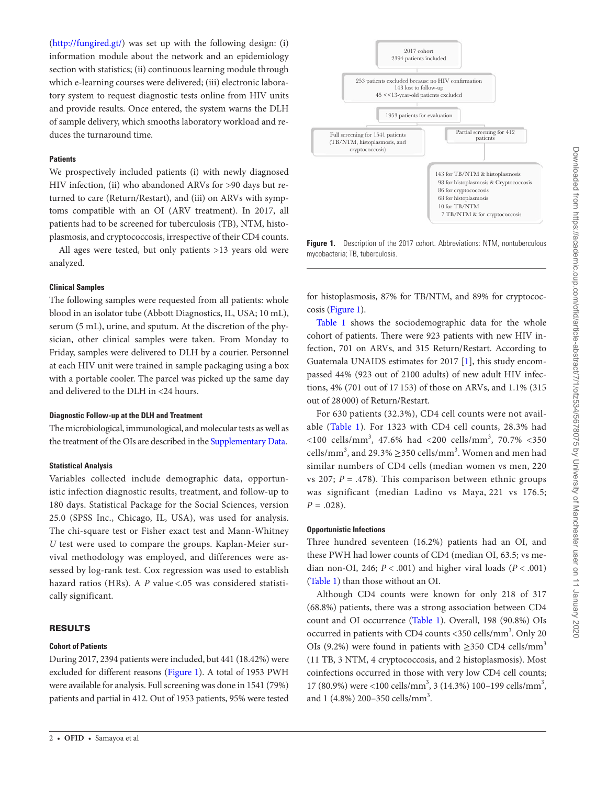[\(http://fungired.gt/](http://fungired.gt/)) was set up with the following design: (i) information module about the network and an epidemiology section with statistics; (ii) continuous learning module through which e-learning courses were delivered; (iii) electronic laboratory system to request diagnostic tests online from HIV units and provide results. Once entered, the system warns the DLH of sample delivery, which smooths laboratory workload and reduces the turnaround time.

## **Patients**

We prospectively included patients (i) with newly diagnosed HIV infection, (ii) who abandoned ARVs for >90 days but returned to care (Return/Restart), and (iii) on ARVs with symptoms compatible with an OI (ARV treatment). In 2017, all patients had to be screened for tuberculosis (TB), NTM, histoplasmosis, and cryptococcosis, irrespective of their CD4 counts.

All ages were tested, but only patients >13 years old were analyzed.

## **Clinical Samples**

The following samples were requested from all patients: whole blood in an isolator tube (Abbott Diagnostics, IL, USA; 10 mL), serum (5 mL), urine, and sputum. At the discretion of the physician, other clinical samples were taken. From Monday to Friday, samples were delivered to DLH by a courier. Personnel at each HIV unit were trained in sample packaging using a box with a portable cooler. The parcel was picked up the same day and delivered to the DLH in <24 hours.

#### **Diagnostic Follow-up at the DLH and Treatment**

The microbiological, immunological, and molecular tests as well as the treatment of the OIs are described in the [Supplementary Data](http://academic.oup.com/ofid/article-lookup/doi/10.1093/ofid/ofz534#supplementary-data).

## **Statistical Analysis**

Variables collected include demographic data, opportunistic infection diagnostic results, treatment, and follow-up to 180 days. Statistical Package for the Social Sciences, version 25.0 (SPSS Inc., Chicago, IL, USA), was used for analysis. The chi-square test or Fisher exact test and Mann-Whitney *U* test were used to compare the groups. Kaplan-Meier survival methodology was employed, and differences were assessed by log-rank test. Cox regression was used to establish hazard ratios (HRs). A *P* value <.05 was considered statistically significant.

# RESULTS

#### **Cohort of Patients**

During 2017, 2394 patients were included, but 441 (18.42%) were excluded for different reasons [\(Figure 1](#page-1-0)). A total of 1953 PWH were available for analysis. Full screening was done in 1541 (79%) patients and partial in 412. Out of 1953 patients, 95% were tested



<span id="page-1-0"></span>**Figure 1.** Description of the 2017 cohort. Abbreviations: NTM, nontuberculous mycobacteria; TB, tuberculosis.

for histoplasmosis, 87% for TB/NTM, and 89% for cryptococcosis [\(Figure 1\)](#page-1-0).

Table 1 shows the sociodemographic data for the whole cohort of patients. There were 923 patients with new HIV infection, 701 on ARVs, and 315 Return/Restart. According to Guatemala UNAIDS estimates for 2017 [\[1\]](#page-8-0), this study encompassed 44% (923 out of 2100 adults) of new adult HIV infections, 4% (701 out of 17 153) of those on ARVs, and 1.1% (315 out of 28 000) of Return/Restart.

For 630 patients (32.3%), CD4 cell counts were not available [\(Table 1](#page-2-0)). For 1323 with CD4 cell counts, 28.3% had  $\langle 100 \text{ cells/mm}^3, 47.6\% \text{ had } \langle 200 \text{ cells/mm}^3, 70.7\% \langle 350 \rangle$ cells/mm<sup>3</sup>, and 29.3%  $\geq$ 350 cells/mm<sup>3</sup>. Women and men had similar numbers of CD4 cells (median women vs men, 220 vs 207;  $P = .478$ ). This comparison between ethnic groups was significant (median Ladino vs Maya, 221 vs 176.5;  $P = .028$ ).

## **Opportunistic Infections**

Three hundred seventeen (16.2%) patients had an OI, and these PWH had lower counts of CD4 (median OI, 63.5; vs median non-OI, 246; *P* < .001) and higher viral loads (*P* < .001) [\(Table 1](#page-2-0)) than those without an OI.

Although CD4 counts were known for only 218 of 317 (68.8%) patients, there was a strong association between CD4 count and OI occurrence [\(Table 1](#page-2-0)). Overall, 198 (90.8%) OIs occurred in patients with CD4 counts <350 cells/mm<sup>3</sup>. Only 20 OIs (9.2%) were found in patients with  $\geq$ 350 CD4 cells/mm<sup>3</sup> (11 TB, 3 NTM, 4 cryptococcosis, and 2 histoplasmosis). Most coinfections occurred in those with very low CD4 cell counts; 17 (80.9%) were <100 cells/mm<sup>3</sup>, 3 (14.3%) 100-199 cells/mm<sup>3</sup>, and 1 (4.8%) 200–350 cells/mm<sup>3</sup>.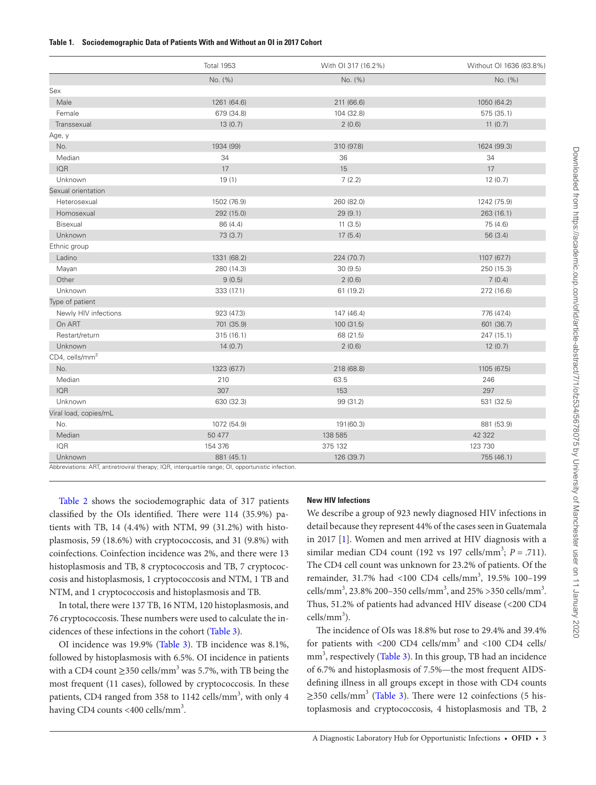#### <span id="page-2-0"></span>**Table 1. Sociodemographic Data of Patients With and Without an OI in 2017 Cohort**

|                               | <b>Total 1953</b> | With OI 317 (16.2%) | Without OI 1636 (83.8%) |
|-------------------------------|-------------------|---------------------|-------------------------|
|                               | No. (%)           | No. (%)             | No. (%)                 |
| Sex                           |                   |                     |                         |
| Male                          | 1261 (64.6)       | 211 (66.6)          | 1050 (64.2)             |
| Female                        | 679 (34.8)        | 104 (32.8)          | 575 (35.1)              |
| Transsexual                   | 13(0.7)           | 2(0.6)              | 11(0.7)                 |
| Age, y                        |                   |                     |                         |
| No.                           | 1934 (99)         | 310 (97.8)          | 1624 (99.3)             |
| Median                        | 34                | 36                  | 34                      |
| <b>IQR</b>                    | 17                | 15                  | 17                      |
| Unknown                       | 19(1)             | 7(2.2)              | 12(0.7)                 |
| Sexual orientation            |                   |                     |                         |
| Heterosexual                  | 1502 (76.9)       | 260 (82.0)          | 1242 (75.9)             |
| Homosexual                    | 292 (15.0)        | 29(9.1)             | 263 (16.1)              |
| Bisexual                      | 86 (4.4)          | 11(3.5)             | 75 (4.6)                |
| Unknown                       | 73 (3.7)          | 17(5.4)             | 56 (3.4)                |
| Ethnic group                  |                   |                     |                         |
| Ladino                        | 1331 (68.2)       | 224 (70.7)          | 1107 (67.7)             |
| Mayan                         | 280 (14.3)        | 30(9.5)             | 250 (15.3)              |
| Other                         | 9(0.5)            | 2(0.6)              | 7(0.4)                  |
| Unknown                       | 333 (17.1)        | 61 (19.2)           | 272 (16.6)              |
| Type of patient               |                   |                     |                         |
| Newly HIV infections          | 923 (47.3)        | 147 (46.4)          | 776 (47.4)              |
| On ART                        | 701 (35.9)        | 100 (31.5)          | 601 (36.7)              |
| Restart/return                | 315(16.1)         | 68 (21.5)           | 247 (15.1)              |
| Unknown                       | 14(0.7)           | 2(0.6)              | 12(0.7)                 |
| $CD4$ , cells/mm <sup>3</sup> |                   |                     |                         |
| No.                           | 1323 (67.7)       | 218 (68.8)          | 1105 (67.5)             |
| Median                        | 210               | 63.5                | 246                     |
| <b>IQR</b>                    | 307               | 153                 | 297                     |
| Unknown                       | 630 (32.3)        | 99 (31.2)           | 531 (32.5)              |
| Viral load, copies/mL         |                   |                     |                         |
| No.                           | 1072 (54.9)       | 191(60.3)           | 881 (53.9)              |
| Median                        | 50 477            | 138 585             | 42 322                  |
| <b>IQR</b>                    | 154 376           | 375 132             | 123 730                 |
| Unknown                       | 881 (45.1)        | 126 (39.7)          | 755 (46.1)              |

Table 2 shows the sociodemographic data of 317 patients classified by the OIs identified. There were 114 (35.9%) patients with TB, 14 (4.4%) with NTM, 99 (31.2%) with histoplasmosis, 59 (18.6%) with cryptococcosis, and 31 (9.8%) with coinfections. Coinfection incidence was 2%, and there were 13 histoplasmosis and TB, 8 cryptococcosis and TB, 7 cryptococcosis and histoplasmosis, 1 cryptococcosis and NTM, 1 TB and NTM, and 1 cryptococcosis and histoplasmosis and TB.

In total, there were 137 TB, 16 NTM, 120 histoplasmosis, and 76 cryptococcosis. These numbers were used to calculate the incidences of these infections in the cohort [\(Table 3](#page-4-0)).

OI incidence was 19.9% ([Table 3\)](#page-4-0). TB incidence was 8.1%, followed by histoplasmosis with 6.5%. OI incidence in patients with a CD4 count  $\geq$ 350 cells/mm<sup>3</sup> was 5.7%, with TB being the most frequent (11 cases), followed by cryptococcosis. In these patients, CD4 ranged from 358 to 1142 cells/mm<sup>3</sup>, with only 4 having CD4 counts <400 cells/mm<sup>3</sup>.

## **New HIV Infections**

We describe a group of 923 newly diagnosed HIV infections in detail because they represent 44% of the cases seen in Guatemala in 2017 [[1](#page-8-0)]. Women and men arrived at HIV diagnosis with a similar median CD4 count (192 vs 197 cells/mm<sup>3</sup>;  $P = .711$ ). The CD4 cell count was unknown for 23.2% of patients. Of the remainder, 31.7% had <100 CD4 cells/mm<sup>3</sup>, 19.5% 100-199 cells/mm<sup>3</sup>, 23.8% 200–350 cells/mm<sup>3</sup>, and 25% >350 cells/mm<sup>3</sup>. Thus, 51.2% of patients had advanced HIV disease (<200 CD4  $\text{cells/mm}^3$ ).

The incidence of OIs was 18.8% but rose to 29.4% and 39.4% for patients with <200 CD4 cells/mm<sup>3</sup> and <100 CD4 cells/ mm<sup>3</sup>, respectively ([Table 3\)](#page-4-0). In this group, TB had an incidence of 6.7% and histoplasmosis of 7.5%—the most frequent AIDSdefining illness in all groups except in those with CD4 counts  $\geq$ 350 cells/mm<sup>3</sup> (Table 3). There were 12 coinfections (5 histoplasmosis and cryptococcosis, 4 histoplasmosis and TB, 2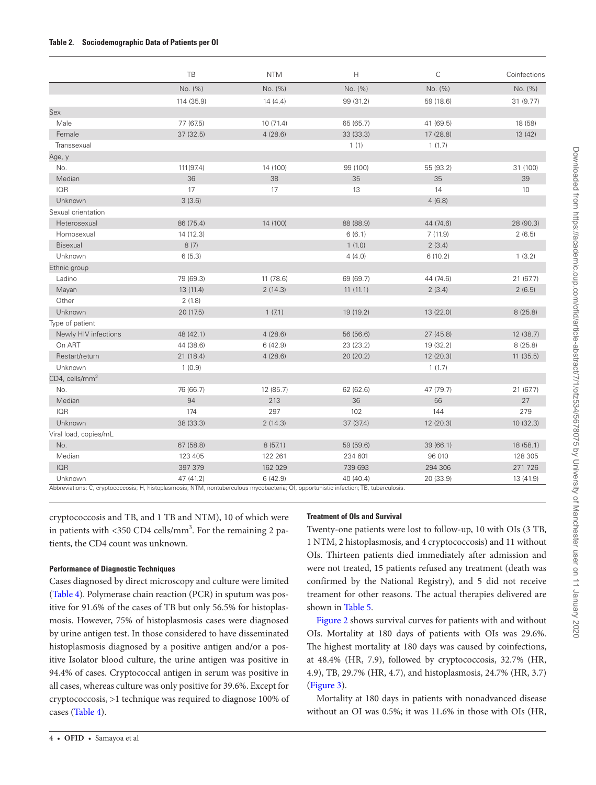## <span id="page-3-0"></span>**Table 2. Sociodemographic Data of Patients per OI**

|                       | TB         | <b>NTM</b> | H         | $\mathsf C$ | Coinfections |
|-----------------------|------------|------------|-----------|-------------|--------------|
|                       | No. (%)    | No. (%)    | No. (%)   | No. (%)     | No. (%)      |
|                       | 114 (35.9) | 14(4.4)    | 99 (31.2) | 59 (18.6)   | 31 (9.77)    |
| Sex                   |            |            |           |             |              |
| Male                  | 77 (67.5)  | 10(71.4)   | 65 (65.7) | 41 (69.5)   | 18 (58)      |
| Female                | 37 (32.5)  | 4(28.6)    | 33 (33.3) | 17 (28.8)   | 13 (42)      |
| Transsexual           |            |            | 1(1)      | 1(1.7)      |              |
| Age, y                |            |            |           |             |              |
| No.                   | 111 (97.4) | 14 (100)   | 99 (100)  | 55 (93.2)   | 31 (100)     |
| Median                | 36         | 38         | 35        | 35          | 39           |
| <b>IQR</b>            | 17         | 17         | 13        | 14          | 10           |
| Unknown               | 3(3.6)     |            |           | 4(6.8)      |              |
| Sexual orientation    |            |            |           |             |              |
| Heterosexual          | 86 (75.4)  | 14 (100)   | 88 (88.9) | 44 (74.6)   | 28 (90.3)    |
| Homosexual            | 14 (12.3)  |            | 6(6.1)    | 7(11.9)     | 2(6.5)       |
| Bisexual              | 8(7)       |            | 1(1.0)    | 2(3.4)      |              |
| Unknown               | 6(5.3)     |            | 4(4.0)    | 6(10.2)     | 1(3.2)       |
| Ethnic group          |            |            |           |             |              |
| Ladino                | 79 (69.3)  | 11 (78.6)  | 69 (69.7) | 44 (74.6)   | 21 (67.7)    |
| Mayan                 | 13 (11.4)  | 2(14.3)    | 11(11.1)  | 2(3.4)      | 2(6.5)       |
| Other                 | 2(1.8)     |            |           |             |              |
| Unknown               | 20 (17.5)  | 1(7.1)     | 19 (19.2) | 13 (22.0)   | 8(25.8)      |
| Type of patient       |            |            |           |             |              |
| Newly HIV infections  | 48 (42.1)  | 4(28.6)    | 56 (56.6) | 27 (45.8)   | 12 (38.7)    |
| On ART                | 44 (38.6)  | 6(42.9)    | 23 (23.2) | 19 (32.2)   | 8(25.8)      |
| Restart/return        | 21(18.4)   | 4(28.6)    | 20 (20.2) | 12 (20.3)   | 11(35.5)     |
| Unknown               | 1(0.9)     |            |           | 1(1.7)      |              |
| $CD4$ , cells/mm $3$  |            |            |           |             |              |
| No.                   | 76 (66.7)  | 12 (85.7)  | 62 (62.6) | 47 (79.7)   | 21 (67.7)    |
| Median                | 94         | 213        | 36        | 56          | 27           |
| <b>IQR</b>            | 174        | 297        | 102       | 144         | 279          |
| Unknown               | 38 (33.3)  | 2(14.3)    | 37 (37.4) | 12 (20.3)   | 10 (32.3)    |
| Viral load, copies/mL |            |            |           |             |              |
| No.                   | 67 (58.8)  | 8(57.1)    | 59 (59.6) | 39 (66.1)   | 18 (58.1)    |
| Median                | 123 405    | 122 261    | 234 601   | 96 010      | 128 305      |
| <b>IQR</b>            | 397 379    | 162 029    | 739 693   | 294 306     | 271 726      |
| Unknown               | 47 (41.2)  | 6(42.9)    | 40 (40.4) | 20 (33.9)   | 13 (41.9)    |

Downloaded from https://academic.oup.com/ofid/article-abstract/7/1/ofz534/5678075 by University of Manchester user on 11 January 2020 Downloaded from https://academic.oup.com/ofid/article-abstract/7/1/ofz534/5678075 by University of Manchester user on 11 January 2020

cryptococcosis and TB, and 1 TB and NTM), 10 of which were in patients with <350 CD4 cells/mm<sup>3</sup>. For the remaining 2 patients, the CD4 count was unknown.

# **Performance of Diagnostic Techniques**

Cases diagnosed by direct microscopy and culture were limited [\(Table 4](#page-4-1)). Polymerase chain reaction (PCR) in sputum was positive for 91.6% of the cases of TB but only 56.5% for histoplasmosis. However, 75% of histoplasmosis cases were diagnosed by urine antigen test. In those considered to have disseminated histoplasmosis diagnosed by a positive antigen and/or a positive Isolator blood culture, the urine antigen was positive in 94.4% of cases. Cryptococcal antigen in serum was positive in all cases, whereas culture was only positive for 39.6%. Except for cryptococcosis, >1 technique was required to diagnose 100% of cases ([Table 4\)](#page-4-1).

# **Treatment of OIs and Survival**

Twenty-one patients were lost to follow-up, 10 with OIs (3 TB, 1 NTM, 2 histoplasmosis, and 4 cryptococcosis) and 11 without OIs. Thirteen patients died immediately after admission and were not treated, 15 patients refused any treatment (death was confirmed by the National Registry), and 5 did not receive treament for other reasons. The actual therapies delivered are shown in [Table 5.](#page-5-0)

[Figure 2](#page-5-1) shows survival curves for patients with and without OIs. Mortality at 180 days of patients with OIs was 29.6%. The highest mortality at 180 days was caused by coinfections, at 48.4% (HR, 7.9), followed by cryptococcosis, 32.7% (HR, 4.9), TB, 29.7% (HR, 4.7), and histoplasmosis, 24.7% (HR, 3.7) [\(Figure 3\)](#page-6-0).

Mortality at 180 days in patients with nonadvanced disease without an OI was 0.5%; it was 11.6% in those with OIs (HR,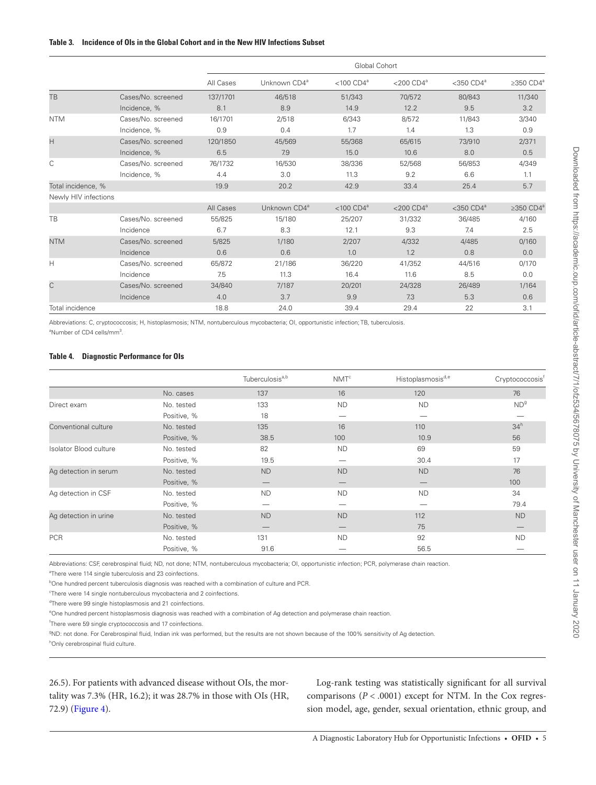## <span id="page-4-0"></span>**Table 3. Incidence of OIs in the Global Cohort and in the New HIV Infections Subset**

|                      |                    | Global Cohort |                          |                 |                 |                 |                             |
|----------------------|--------------------|---------------|--------------------------|-----------------|-----------------|-----------------|-----------------------------|
|                      |                    | All Cases     | Unknown CD4 <sup>a</sup> | $<$ 100 CD4 $a$ | $<$ 200 CD4 $a$ | $<$ 350 CD4 $a$ | $\geq$ 350 CD4 <sup>8</sup> |
| TB                   | Cases/No. screened | 137/1701      | 46/518                   | 51/343          | 70/572          | 80/843          | 11/340                      |
|                      | Incidence, %       | 8.1           | 8.9                      | 14.9            | 12.2            | 9.5             | 3.2                         |
| <b>NTM</b>           | Cases/No. screened | 16/1701       | 2/518                    | 6/343           | 8/572           | 11/843          | 3/340                       |
|                      | Incidence, %       | 0.9           | 0.4                      | 1.7             | 1.4             | 1.3             | 0.9                         |
| H                    | Cases/No. screened | 120/1850      | 45/569                   | 55/368          | 65/615          | 73/910          | 2/371                       |
|                      | Incidence, %       | 6.5           | 7.9                      | 15.0            | 10.6            | 8.0             | 0.5                         |
| C                    | Cases/No. screened | 76/1732       | 16/530                   | 38/336          | 52/568          | 56/853          | 4/349                       |
|                      | Incidence, %       | 4.4           | 3.0                      | 11.3            | 9.2             | 6.6             | 1.1                         |
| Total incidence, %   |                    | 19.9          | 20.2                     | 42.9            | 33.4            | 25.4            | 5.7                         |
| Newly HIV infections |                    |               |                          |                 |                 |                 |                             |
|                      |                    | All Cases     | Unknown CD4 <sup>a</sup> | $<$ 100 CD4 $a$ | $<$ 200 CD4 $a$ | $<$ 350 CD4 $a$ | $\geq$ 350 CD4 <sup>8</sup> |
| TB                   | Cases/No. screened | 55/825        | 15/180                   | 25/207          | 31/332          | 36/485          | 4/160                       |
|                      | Incidence          | 6.7           | 8.3                      | 12.1            | 9.3             | 7.4             | 2.5                         |
| <b>NTM</b>           | Cases/No. screened | 5/825         | 1/180                    | 2/207           | 4/332           | 4/485           | 0/160                       |
|                      | Incidence          | 0.6           | 0.6                      | 1.0             | 1.2             | 0.8             | 0.0                         |
| Н                    | Cases/No. screened | 65/872        | 21/186                   | 36/220          | 41/352          | 44/516          | 0/170                       |
|                      | Incidence          | 7.5           | 11.3                     | 16.4            | 11.6            | 8.5             | 0.0                         |
| $\overline{C}$       | Cases/No. screened | 34/840        | 7/187                    | 20/201          | 24/328          | 26/489          | 1/164                       |
|                      | Incidence          | 4.0           | 3.7                      | 9.9             | 7.3             | 5.3             | 0.6                         |
| Total incidence      |                    | 18.8          | 24.0                     | 39.4            | 29.4            | 22              | 3.1                         |

Abbreviations: C, cryptococcosis; H, histoplasmosis; NTM, nontuberculous mycobacteria; OI, opportunistic infection; TB, tuberculosis. <sup>a</sup>Number of CD4 cells/mm<sup>3</sup>.

# <span id="page-4-1"></span>**Table 4. Diagnostic Performance for OIs**

|                        |             | Tuberculosis <sup>a,b</sup> | NMT <sup>c</sup> | Histoplasmosis <sup>d,e</sup> | Cryptococcosist |
|------------------------|-------------|-----------------------------|------------------|-------------------------------|-----------------|
|                        | No. cases   | 137                         | 16               | 120                           | 76              |
| Direct exam            | No. tested  | 133                         | <b>ND</b>        | <b>ND</b>                     | ND <sup>9</sup> |
|                        | Positive, % | 18                          |                  |                               |                 |
| Conventional culture   | No. tested  | 135                         | 16               | 110                           | $34^h$          |
|                        | Positive, % | 38.5                        | 100              | 10.9                          | 56              |
| Isolator Blood culture | No. tested  | 82                          | <b>ND</b>        | 69                            | 59              |
|                        | Positive, % | 19.5                        |                  | 30.4                          | 17              |
| Ag detection in serum  | No. tested  | <b>ND</b>                   | <b>ND</b>        | <b>ND</b>                     | 76              |
|                        | Positive, % |                             |                  |                               | 100             |
| Ag detection in CSF    | No. tested  | <b>ND</b>                   | <b>ND</b>        | <b>ND</b>                     | 34              |
|                        | Positive, % |                             |                  |                               | 79.4            |
| Ag detection in urine  | No. tested  | <b>ND</b>                   | <b>ND</b>        | 112                           | <b>ND</b>       |
|                        | Positive, % |                             |                  | 75                            |                 |
| <b>PCR</b>             | No. tested  | 131                         | <b>ND</b>        | 92                            | <b>ND</b>       |
|                        | Positive, % | 91.6                        |                  | 56.5                          |                 |

Abbreviations: CSF, cerebrospinal fluid; ND, not done; NTM, nontuberculous mycobacteria; OI, opportunistic infection; PCR, polymerase chain reaction.

<sup>a</sup>There were 114 single tuberculosis and 23 coinfections.

<sup>b</sup>One hundred percent tuberculosis diagnosis was reached with a combination of culture and PCR.

<sup>c</sup>There were 14 single nontuberculous mycobacteria and 2 coinfections.

<sup>d</sup>There were 99 single histoplasmosis and 21 coinfections.

<sup>e</sup>One hundred percent histoplasmosis diagnosis was reached with a combination of Ag detection and polymerase chain reaction.

f There were 59 single cryptococcosis and 17 coinfections.

<sup>9</sup>ND: not done. For Cerebrospinal fluid, Indian ink was performed, but the results are not shown because of the 100% sensitivity of Ag detection.

<sup>h</sup>Only cerebrospinal fluid culture.

26.5). For patients with advanced disease without OIs, the mortality was 7.3% (HR, 16.2); it was 28.7% in those with OIs (HR, 72.9) ([Figure 4\)](#page-6-1).

Log-rank testing was statistically significant for all survival comparisons (*P* < .0001) except for NTM. In the Cox regression model, age, gender, sexual orientation, ethnic group, and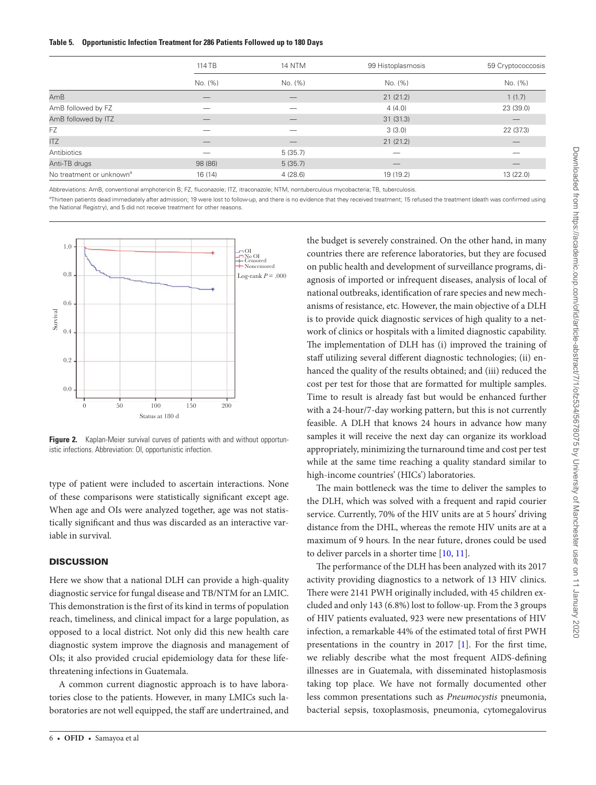## <span id="page-5-0"></span>**Table 5. Opportunistic Infection Treatment for 286 Patients Followed up to 180 Days**

|                                      | 114 TB                   | <b>14 NTM</b>            | 99 Histoplasmosis | 59 Cryptococcosis        |  |
|--------------------------------------|--------------------------|--------------------------|-------------------|--------------------------|--|
|                                      | No. (%)                  | No. (%)                  | No. (%)           | No. (%)                  |  |
| AmB                                  | _                        | $\overline{\phantom{a}}$ | 21(21.2)          | 1(1.7)                   |  |
| AmB followed by FZ                   |                          |                          | 4(4.0)            | 23(39.0)                 |  |
| AmB followed by ITZ                  |                          |                          | 31(31.3)          | $\overline{\phantom{a}}$ |  |
| <b>FZ</b>                            | $\overline{\phantom{a}}$ |                          | 3(3.0)            | 22 (37.3)                |  |
| <b>ITZ</b>                           |                          |                          | 21(21.2)          |                          |  |
| Antibiotics                          | _                        | 5(35.7)                  | $\sim$            | -                        |  |
| Anti-TB drugs                        | 98 (86)                  | 5(35.7)                  |                   |                          |  |
| No treatment or unknown <sup>a</sup> | 16(14)                   | 4(28.6)                  | 19 (19.2)         | 13 (22.0)                |  |

Abbreviations: AmB, conventional amphotericin B; FZ, fluconazole; ITZ, itraconazole; NTM, nontuberculous mycobacteria; TB, tuberculosis.

<sup>a</sup>Thirteen patients dead immediately after admission; 19 were lost to follow-up, and there is no evidence that they received treatment; 15 refused the treatment (death was confirmed using the National Registry), and 5 did not receive treatment for other reasons.



<span id="page-5-1"></span>**Figure 2.** Kaplan-Meier survival curves of patients with and without opportunistic infections. Abbreviation: OI, opportunistic infection.

type of patient were included to ascertain interactions. None of these comparisons were statistically significant except age. When age and OIs were analyzed together, age was not statistically significant and thus was discarded as an interactive variable in survival.

## **DISCUSSION**

Here we show that a national DLH can provide a high-quality diagnostic service for fungal disease and TB/NTM for an LMIC. This demonstration is the first of its kind in terms of population reach, timeliness, and clinical impact for a large population, as opposed to a local district. Not only did this new health care diagnostic system improve the diagnosis and management of OIs; it also provided crucial epidemiology data for these lifethreatening infections in Guatemala.

A common current diagnostic approach is to have laboratories close to the patients. However, in many LMICs such laboratories are not well equipped, the staff are undertrained, and

the budget is severely constrained. On the other hand, in many countries there are reference laboratories, but they are focused on public health and development of surveillance programs, diagnosis of imported or infrequent diseases, analysis of local of national outbreaks, identification of rare species and new mechanisms of resistance, etc. However, the main objective of a DLH is to provide quick diagnostic services of high quality to a network of clinics or hospitals with a limited diagnostic capability. The implementation of DLH has (i) improved the training of staff utilizing several different diagnostic technologies; (ii) enhanced the quality of the results obtained; and (iii) reduced the cost per test for those that are formatted for multiple samples. Time to result is already fast but would be enhanced further with a 24-hour/7-day working pattern, but this is not currently feasible. A DLH that knows 24 hours in advance how many samples it will receive the next day can organize its workload appropriately, minimizing the turnaround time and cost per test while at the same time reaching a quality standard similar to high-income countries' (HICs') laboratories.

The main bottleneck was the time to deliver the samples to the DLH, which was solved with a frequent and rapid courier service. Currently, 70% of the HIV units are at 5 hours' driving distance from the DHL, whereas the remote HIV units are at a maximum of 9 hours. In the near future, drones could be used to deliver parcels in a shorter time [[10,](#page-9-0) [11](#page-9-1)].

The performance of the DLH has been analyzed with its 2017 activity providing diagnostics to a network of 13 HIV clinics. There were 2141 PWH originally included, with 45 children excluded and only 143 (6.8%) lost to follow-up. From the 3 groups of HIV patients evaluated, 923 were new presentations of HIV infection, a remarkable 44% of the estimated total of first PWH presentations in the country in 2017 [[1](#page-8-0)]. For the first time, we reliably describe what the most frequent AIDS-defining illnesses are in Guatemala, with disseminated histoplasmosis taking top place. We have not formally documented other less common presentations such as *Pneumocystis* pneumonia, bacterial sepsis, toxoplasmosis, pneumonia, cytomegalovirus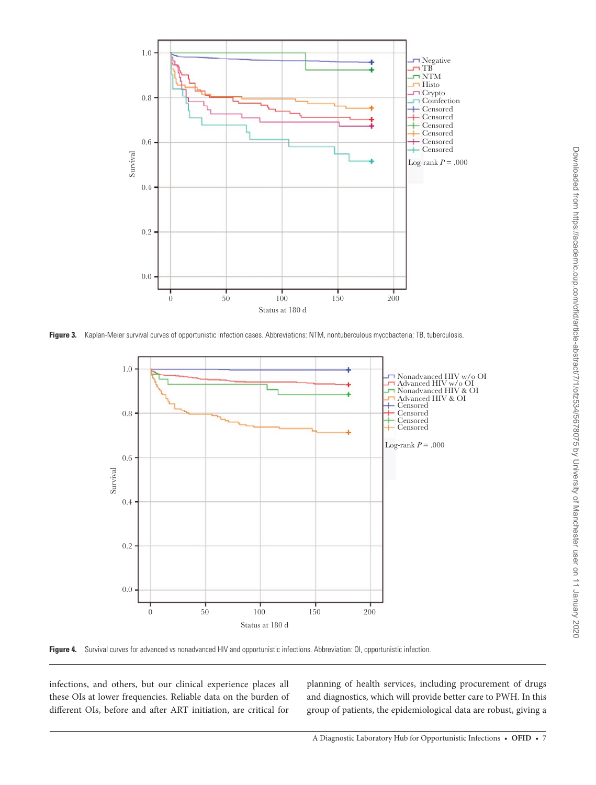

**Figure 3.** Kaplan-Meier survival curves of opportunistic infection cases. Abbreviations: NTM, nontuberculous mycobacteria; TB, tuberculosis.

<span id="page-6-0"></span>

<span id="page-6-1"></span>Figure 4. Survival curves for advanced vs nonadvanced HIV and opportunistic infections. Abbreviation: OI, opportunistic infection.

infections, and others, but our clinical experience places all these OIs at lower frequencies. Reliable data on the burden of different OIs, before and after ART initiation, are critical for

planning of health services, including procurement of drugs and diagnostics, which will provide better care to PWH. In this group of patients, the epidemiological data are robust, giving a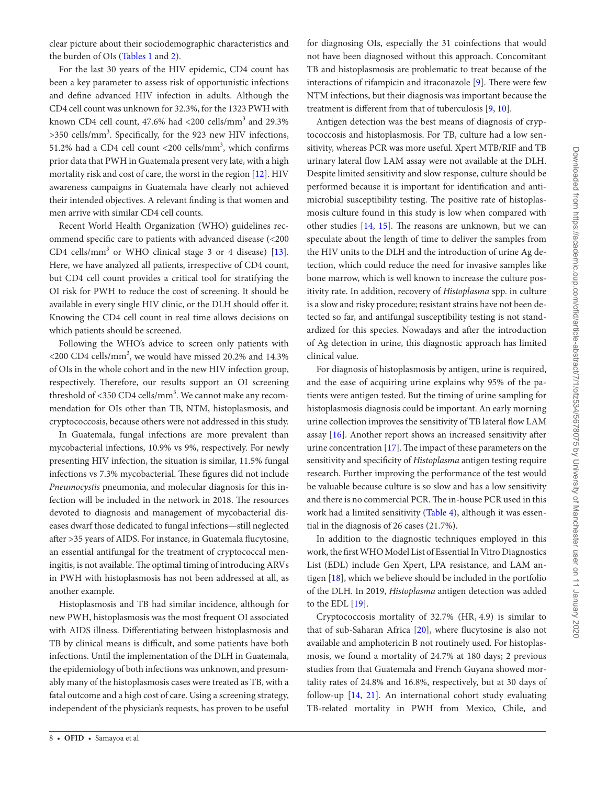clear picture about their sociodemographic characteristics and the burden of OIs ([Tables 1](#page-2-0) and [2](#page-3-0)).

For the last 30 years of the HIV epidemic, CD4 count has been a key parameter to assess risk of opportunistic infections and define advanced HIV infection in adults. Although the CD4 cell count was unknown for 32.3%, for the 1323 PWH with known CD4 cell count,  $47.6\%$  had <200 cells/mm<sup>3</sup> and 29.3% >350 cells/mm<sup>3</sup>. Specifically, for the 923 new HIV infections, 51.2% had a CD4 cell count <200 cells/mm<sup>3</sup>, which confirms prior data that PWH in Guatemala present very late, with a high mortality risk and cost of care, the worst in the region [\[12](#page-9-2)]. HIV awareness campaigns in Guatemala have clearly not achieved their intended objectives. A relevant finding is that women and men arrive with similar CD4 cell counts.

Recent World Health Organization (WHO) guidelines recommend specific care to patients with advanced disease (<200 CD4 cells/mm<sup>3</sup> or WHO clinical stage 3 or 4 disease) [\[13\]](#page-9-3). Here, we have analyzed all patients, irrespective of CD4 count, but CD4 cell count provides a critical tool for stratifying the OI risk for PWH to reduce the cost of screening. It should be available in every single HIV clinic, or the DLH should offer it. Knowing the CD4 cell count in real time allows decisions on which patients should be screened.

Following the WHO's advice to screen only patients with  $<$  200 CD4 cells/mm<sup>3</sup>, we would have missed 20.2% and 14.3% of OIs in the whole cohort and in the new HIV infection group, respectively. Therefore, our results support an OI screening threshold of <350 CD4 cells/ $mm<sup>3</sup>$ . We cannot make any recommendation for OIs other than TB, NTM, histoplasmosis, and cryptococcosis, because others were not addressed in this study.

In Guatemala, fungal infections are more prevalent than mycobacterial infections, 10.9% vs 9%, respectively. For newly presenting HIV infection, the situation is similar, 11.5% fungal infections vs 7.3% mycobacterial. These figures did not include *Pneumocystis* pneumonia, and molecular diagnosis for this infection will be included in the network in 2018. The resources devoted to diagnosis and management of mycobacterial diseases dwarf those dedicated to fungal infections—still neglected after >35 years of AIDS. For instance, in Guatemala flucytosine, an essential antifungal for the treatment of cryptococcal meningitis, is not available. The optimal timing of introducing ARVs in PWH with histoplasmosis has not been addressed at all, as another example.

Histoplasmosis and TB had similar incidence, although for new PWH, histoplasmosis was the most frequent OI associated with AIDS illness. Differentiating between histoplasmosis and TB by clinical means is difficult, and some patients have both infections. Until the implementation of the DLH in Guatemala, the epidemiology of both infections was unknown, and presumably many of the histoplasmosis cases were treated as TB, with a fatal outcome and a high cost of care. Using a screening strategy, independent of the physician's requests, has proven to be useful for diagnosing OIs, especially the 31 coinfections that would not have been diagnosed without this approach. Concomitant TB and histoplasmosis are problematic to treat because of the interactions of rifampicin and itraconazole [[9](#page-9-4)]. There were few NTM infections, but their diagnosis was important because the treatment is different from that of tuberculosis [[9,](#page-9-4) [10\]](#page-9-0).

Antigen detection was the best means of diagnosis of cryptococcosis and histoplasmosis. For TB, culture had a low sensitivity, whereas PCR was more useful. Xpert MTB/RIF and TB urinary lateral flow LAM assay were not available at the DLH. Despite limited sensitivity and slow response, culture should be performed because it is important for identification and antimicrobial susceptibility testing. The positive rate of histoplasmosis culture found in this study is low when compared with other studies [[14,](#page-9-5) [15](#page-9-6)]. The reasons are unknown, but we can speculate about the length of time to deliver the samples from the HIV units to the DLH and the introduction of urine Ag detection, which could reduce the need for invasive samples like bone marrow, which is well known to increase the culture positivity rate. In addition, recovery of *Histoplasma* spp. in culture is a slow and risky procedure; resistant strains have not been detected so far, and antifungal susceptibility testing is not standardized for this species. Nowadays and after the introduction of Ag detection in urine, this diagnostic approach has limited clinical value.

For diagnosis of histoplasmosis by antigen, urine is required, and the ease of acquiring urine explains why 95% of the patients were antigen tested. But the timing of urine sampling for histoplasmosis diagnosis could be important. An early morning urine collection improves the sensitivity of TB lateral flow LAM assay [[16\]](#page-9-7). Another report shows an increased sensitivity after urine concentration [\[17](#page-9-8)]. The impact of these parameters on the sensitivity and specificity of *Histoplasma* antigen testing require research. Further improving the performance of the test would be valuable because culture is so slow and has a low sensitivity and there is no commercial PCR. The in-house PCR used in this work had a limited sensitivity ([Table 4](#page-4-1)), although it was essential in the diagnosis of 26 cases (21.7%).

In addition to the diagnostic techniques employed in this work, the first WHO Model List of Essential In Vitro Diagnostics List (EDL) include Gen Xpert, LPA resistance, and LAM antigen [\[18\]](#page-9-9), which we believe should be included in the portfolio of the DLH. In 2019, *Histoplasma* antigen detection was added to the EDL [[19\]](#page-9-10).

Cryptococcosis mortality of 32.7% (HR, 4.9) is similar to that of sub-Saharan Africa [[20\]](#page-9-11), where flucytosine is also not available and amphotericin B not routinely used. For histoplasmosis, we found a mortality of 24.7% at 180 days; 2 previous studies from that Guatemala and French Guyana showed mortality rates of 24.8% and 16.8%, respectively, but at 30 days of follow-up [\[14](#page-9-5), [21](#page-9-12)]. An international cohort study evaluating TB-related mortality in PWH from Mexico, Chile, and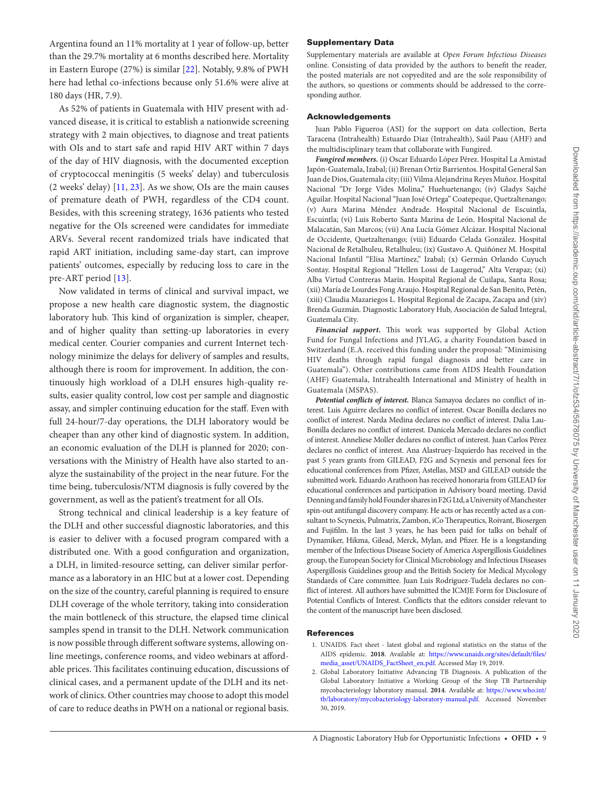Argentina found an 11% mortality at 1 year of follow-up, better than the 29.7% mortality at 6 months described here. Mortality in Eastern Europe (27%) is similar [\[22](#page-9-13)]. Notably, 9.8% of PWH here had lethal co-infections because only 51.6% were alive at 180 days (HR, 7.9).

As 52% of patients in Guatemala with HIV present with advanced disease, it is critical to establish a nationwide screening strategy with 2 main objectives, to diagnose and treat patients with OIs and to start safe and rapid HIV ART within 7 days of the day of HIV diagnosis, with the documented exception of cryptococcal meningitis (5 weeks' delay) and tuberculosis (2 weeks' delay) [[11](#page-9-1), [23](#page-9-14)]. As we show, OIs are the main causes of premature death of PWH, regardless of the CD4 count. Besides, with this screening strategy, 1636 patients who tested negative for the OIs screened were candidates for immediate ARVs. Several recent randomized trials have indicated that rapid ART initiation, including same-day start, can improve patients' outcomes, especially by reducing loss to care in the pre-ART period [\[13\]](#page-9-3).

Now validated in terms of clinical and survival impact, we propose a new health care diagnostic system, the diagnostic laboratory hub. This kind of organization is simpler, cheaper, and of higher quality than setting-up laboratories in every medical center. Courier companies and current Internet technology minimize the delays for delivery of samples and results, although there is room for improvement. In addition, the continuously high workload of a DLH ensures high-quality results, easier quality control, low cost per sample and diagnostic assay, and simpler continuing education for the staff. Even with full 24-hour/7-day operations, the DLH laboratory would be cheaper than any other kind of diagnostic system. In addition, an economic evaluation of the DLH is planned for 2020; conversations with the Ministry of Health have also started to analyze the sustainability of the project in the near future. For the time being, tuberculosis/NTM diagnosis is fully covered by the government, as well as the patient's treatment for all OIs.

Strong technical and clinical leadership is a key feature of the DLH and other successful diagnostic laboratories, and this is easier to deliver with a focused program compared with a distributed one. With a good configuration and organization, a DLH, in limited-resource setting, can deliver similar performance as a laboratory in an HIC but at a lower cost. Depending on the size of the country, careful planning is required to ensure DLH coverage of the whole territory, taking into consideration the main bottleneck of this structure, the elapsed time clinical samples spend in transit to the DLH. Network communication is now possible through different software systems, allowing online meetings, conference rooms, and video webinars at affordable prices. This facilitates continuing education, discussions of clinical cases, and a permanent update of the DLH and its network of clinics. Other countries may choose to adopt this model of care to reduce deaths in PWH on a national or regional basis.

## Supplementary Data

Supplementary materials are available at *Open Forum Infectious Diseases* online. Consisting of data provided by the authors to benefit the reader, the posted materials are not copyedited and are the sole responsibility of the authors, so questions or comments should be addressed to the corresponding author.

## Acknowledgements

Juan Pablo Figueroa (ASI) for the support on data collection, Berta Taracena (Intrahealth) Estuardo Diaz (Intrahealth), Saúl Paau (AHF) and the multidisciplinary team that collaborate with Fungired.

*Fungired members.* (i) Oscar Eduardo López Pérez. Hospital La Amistad Japón-Guatemala, Izabal; (ii) Brenan Ortiz Barrientos. Hospital General San Juan de Dios, Guatemala city; (iii) Vilma Alejandrina Reyes Muñoz. Hospital Nacional "Dr Jorge Vides Molina," Huehuetenango; (iv) Gladys Sajché Aguilar. Hospital Nacional "Juan José Ortega" Coatepeque, Quetzaltenango; (v) Aura Marina Méndez Andrade. Hospital Nacional de Escuintla, Escuintla; (vi) Luis Roberto Santa Marina de León. Hospital Nacional de Malacatán, San Marcos; (vii) Ana Lucía Gómez Alcázar. Hospital Nacional de Occidente, Quetzaltenango; (viii) Eduardo Celada González. Hospital Nacional de Retalhuleu, Retalhuleu; (ix) Gustavo A. Quiñónez M. Hospital Nacional Infantil "Elisa Martínez," Izabal; (x) Germán Orlando Cuyuch Sontay. Hospital Regional "Hellen Lossi de Laugerud," Alta Verapaz; (xi) Alba Virtud Contreras Marín. Hospital Regional de Cuilapa, Santa Rosa; (xii) María de Lourdes Fong Araujo. Hospital Regional de San Benito, Petén, (xiii) Claudia Mazariegos L. Hospital Regional de Zacapa, Zacapa and (xiv) Brenda Guzmán. Diagnostic Laboratory Hub, Asociación de Salud Integral, Guatemala City.

*Financial support.* This work was supported by Global Action Fund for Fungal Infections and JYLAG, a charity Foundation based in Switzerland (E.A. received this funding under the proposal: "Minimising HIV deaths through rapid fungal diagnosis and better care in Guatemala"). Other contributions came from AIDS Health Foundation (AHF) Guatemala, Intrahealth International and Ministry of health in Guatemala (MSPAS).

*Potential conflicts of interest.* Blanca Samayoa declares no conflict of interest. Luis Aguirre declares no conflict of interest. Oscar Bonilla declares no conflict of interest. Narda Medina declares no conflict of interest. Dalia Lau-Bonilla declares no conflict of interest. Danicela Mercado declares no conflict of interest. Anneliese Moller declares no conflict of interest. Juan Carlos Pérez declares no conflict of interest. Ana Alastruey-Izquierdo has received in the past 5 years grants from GILEAD, F2G and Scynexis and personal fees for educational conferences from Pfizer, Astellas, MSD and GILEAD outside the submitted work. Eduardo Arathoon has received honoraria from GILEAD for educational conferences and participation in Advisory board meeting. David Denning and family hold Founder shares in F2G Ltd, a University of Manchester spin-out antifungal discovery company. He acts or has recently acted as a consultant to Scynexis, Pulmatrix, Zambon, iCo Therapeutics, Roivant, Biosergen and Fujifilm. In the last 3 years, he has been paid for talks on behalf of Dynamiker, Hikma, Gilead, Merck, Mylan, and Pfizer. He is a longstanding member of the Infectious Disease Society of America Aspergillosis Guidelines group, the European Society for Clinical Microbiology and Infectious Diseases Aspergillosis Guidelines group and the British Society for Medical Mycology Standards of Care committee. Juan Luis Rodriguez-Tudela declares no conflict of interest. All authors have submitted the ICMJE Form for Disclosure of Potential Conflicts of Interest. Conflicts that the editors consider relevant to the content of the manuscript have been disclosed.

#### References

- <span id="page-8-0"></span>1. UNAIDS. Fact sheet - latest global and regional statistics on the status of the AIDS epidemic. **2018**. Available at: [https://www.unaids.org/sites/default/files/](https://www.unaids.org/sites/default/files/media_asset/UNAIDS_FactSheet_en.pdf) [media\\_asset/UNAIDS\\_FactSheet\\_en.pdf.](https://www.unaids.org/sites/default/files/media_asset/UNAIDS_FactSheet_en.pdf) Accessed May 19, 2019.
- 2. Global Laboratory Initiative Advancing TB Diagnosis. A publication of the Global Laboratory Initiative a Working Group of the Stop TB Partnership mycobacteriology laboratory manual. **2014**. Available at: [https://www.who.int/](https://www.who.int/tb/laboratory/mycobacteriology-laboratory-manual.pdf) [tb/laboratory/mycobacteriology-laboratory-manual.pdf.](https://www.who.int/tb/laboratory/mycobacteriology-laboratory-manual.pdf) Accessed November 30, 2019.